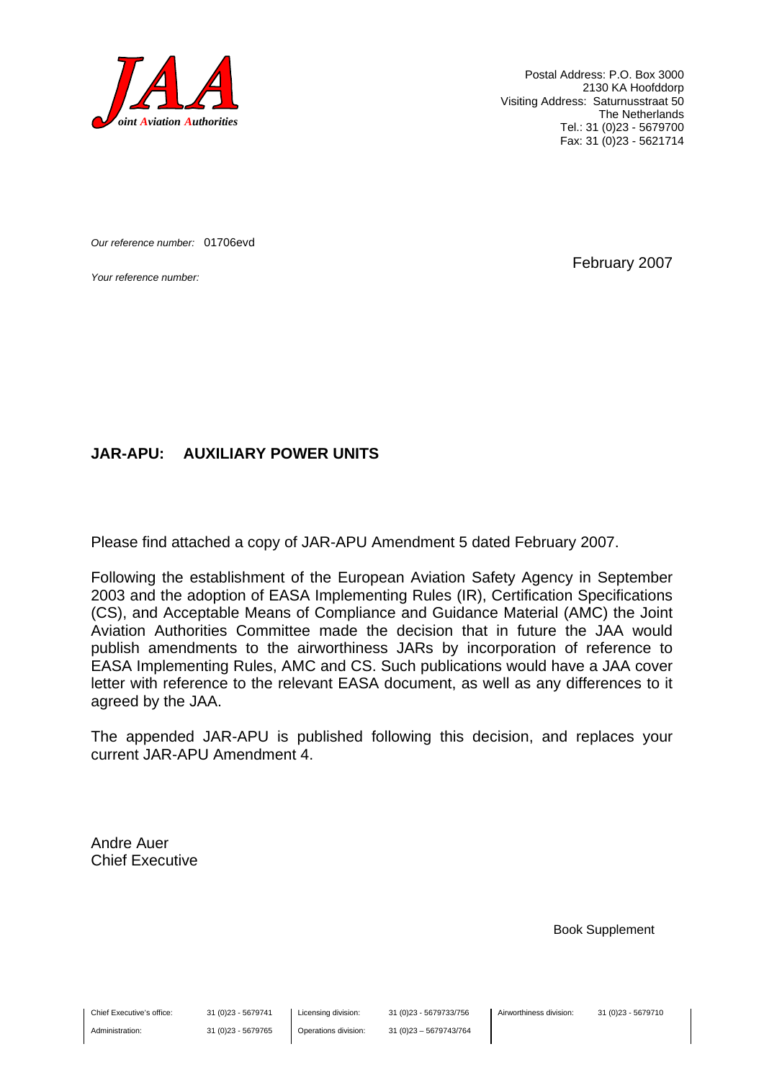

Postal Address: P.O. Box 3000 2130 KA Hoofddorp Visiting Address: Saturnusstraat 50 The Netherlands Tel.: 31 (0)23 - 5679700 Fax: 31 (0)23 - 5621714

*Our reference number:* 01706evd

*Your reference number:* February 2007

#### **JAR-APU: AUXILIARY POWER UNITS**

Please find attached a copy of JAR-APU Amendment 5 dated February 2007.

Following the establishment of the European Aviation Safety Agency in September 2003 and the adoption of EASA Implementing Rules (IR), Certification Specifications (CS), and Acceptable Means of Compliance and Guidance Material (AMC) the Joint Aviation Authorities Committee made the decision that in future the JAA would publish amendments to the airworthiness JARs by incorporation of reference to EASA Implementing Rules, AMC and CS. Such publications would have a JAA cover letter with reference to the relevant EASA document, as well as any differences to it agreed by the JAA.

The appended JAR-APU is published following this decision, and replaces your current JAR-APU Amendment 4.

Andre Auer Chief Executive

Book Supplement

Chief Executive's office:

Administration:

Licensing division: Operations division: 31 (0)23 - 5679733/756 31 (0)23 – 5679743/764 Airworthiness division: 31 (0)23 - 5679710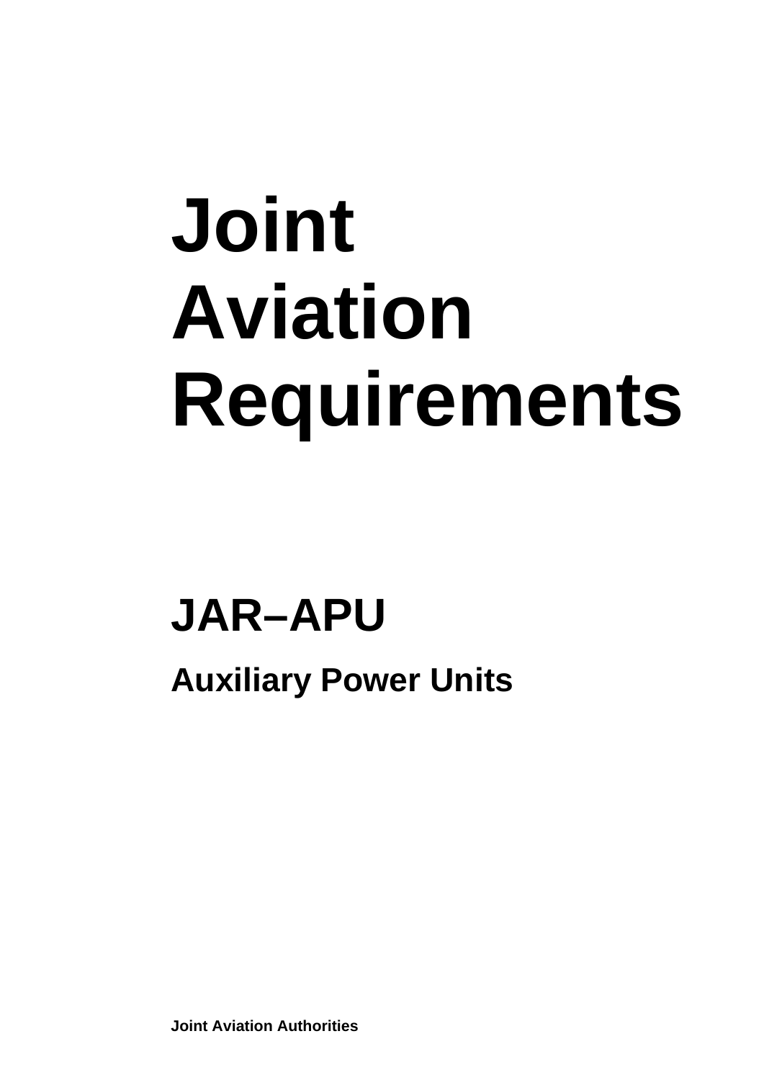# **Joint Aviation Requirements**

## **JAR–APU**

**Auxiliary Power Units** 

**Joint Aviation Authorities**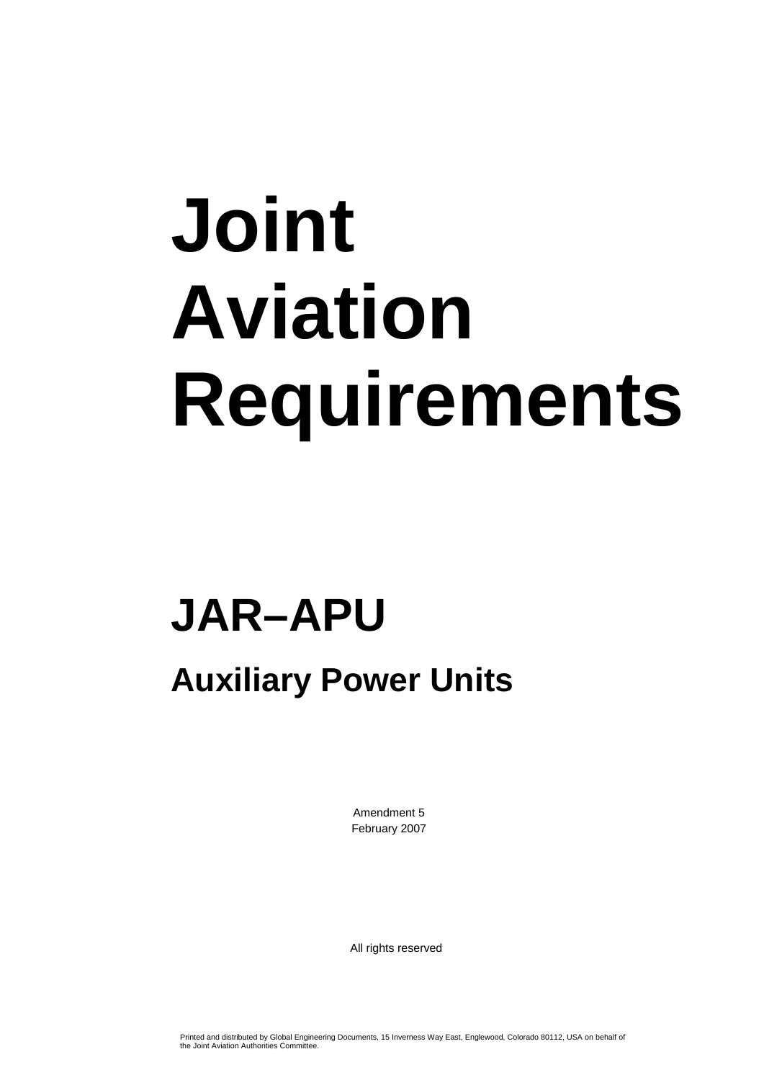# **Joint Aviation Requirements**

## **JAR–APU**

### **Auxiliary Power Units**

Amendment 5 February 2007

All rights reserved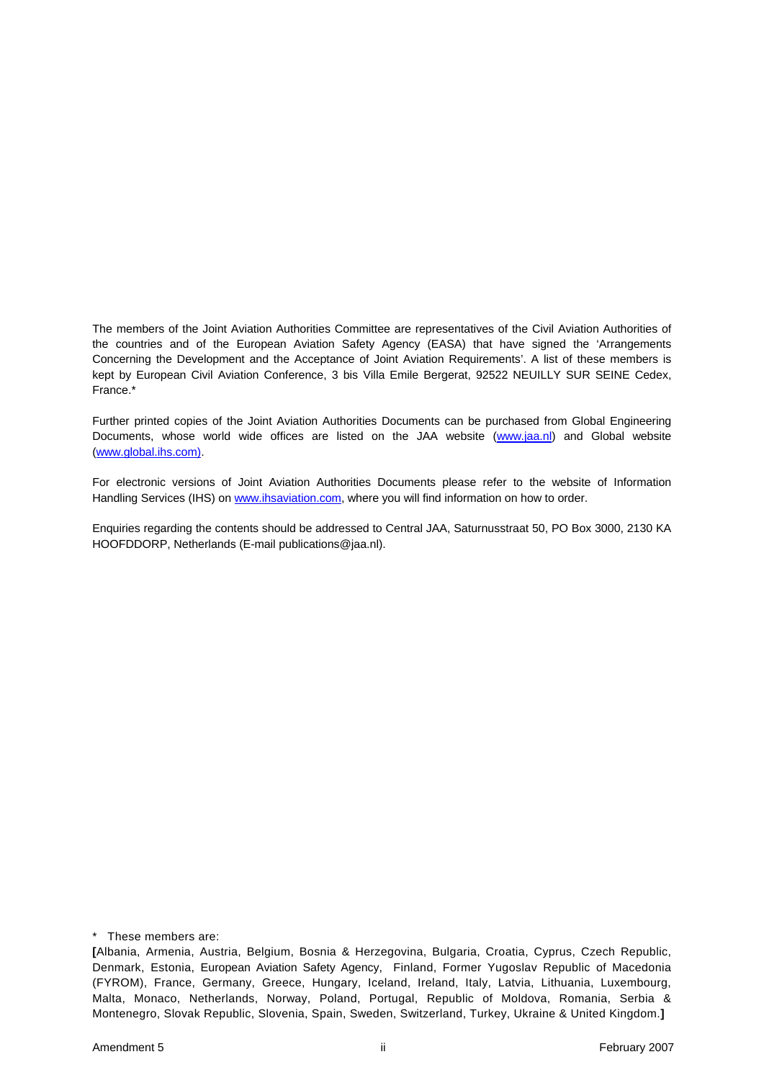The members of the Joint Aviation Authorities Committee are representatives of the Civil Aviation Authorities of the countries and of the European Aviation Safety Agency (EASA) that have signed the 'Arrangements Concerning the Development and the Acceptance of Joint Aviation Requirements'. A list of these members is kept by European Civil Aviation Conference, 3 bis Villa Emile Bergerat, 92522 NEUILLY SUR SEINE Cedex, France.\*

Further printed copies of the Joint Aviation Authorities Documents can be purchased from Global Engineering Documents, whose world wide offices are listed on the JAA website (www.jaa.nl) and Global website (www.global.ihs.com).

For electronic versions of Joint Aviation Authorities Documents please refer to the website of Information Handling Services (IHS) on www.ihsaviation.com, where you will find information on how to order.

Enquiries regarding the contents should be addressed to Central JAA, Saturnusstraat 50, PO Box 3000, 2130 KA HOOFDDORP, Netherlands (E-mail publications@jaa.nl).

\* These members are:

**<sup>[</sup>**Albania, Armenia, Austria, Belgium, Bosnia & Herzegovina, Bulgaria, Croatia, Cyprus, Czech Republic, Denmark, Estonia, European Aviation Safety Agency, Finland, Former Yugoslav Republic of Macedonia (FYROM), France, Germany, Greece, Hungary, Iceland, Ireland, Italy, Latvia, Lithuania, Luxembourg, Malta, Monaco, Netherlands, Norway, Poland, Portugal, Republic of Moldova, Romania, Serbia & Montenegro, Slovak Republic, Slovenia, Spain, Sweden, Switzerland, Turkey, Ukraine & United Kingdom.**]**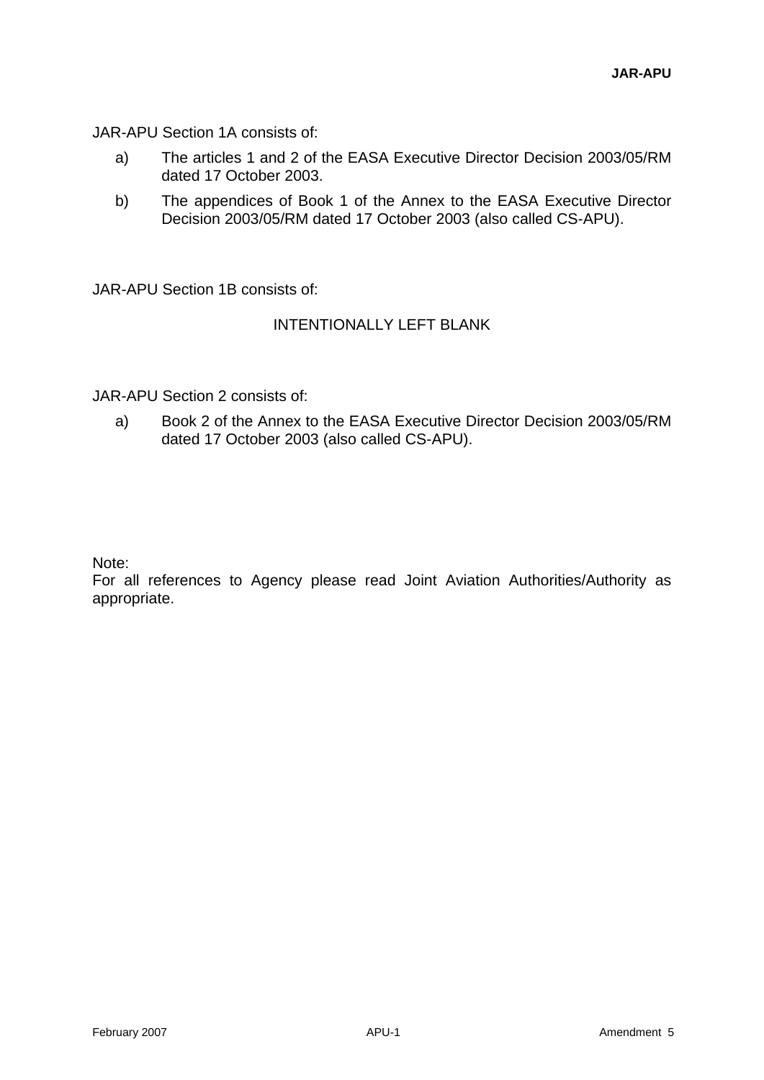JAR-APU Section 1A consists of:

- a) The articles 1 and 2 of the EASA Executive Director Decision 2003/05/RM dated 17 October 2003.
- b) The appendices of Book 1 of the Annex to the EASA Executive Director Decision 2003/05/RM dated 17 October 2003 (also called CS-APU).

JAR-APU Section 1B consists of:

#### INTENTIONALLY LEFT BLANK

JAR-APU Section 2 consists of:

a) Book 2 of the Annex to the EASA Executive Director Decision 2003/05/RM dated 17 October 2003 (also called CS-APU).

Note:

For all references to Agency please read Joint Aviation Authorities/Authority as appropriate.